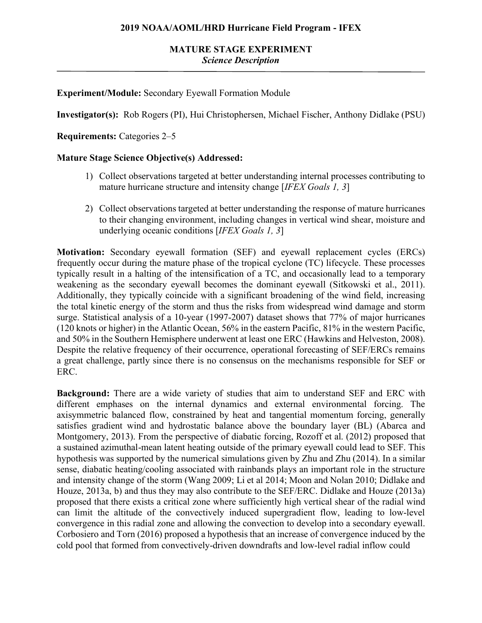## **Experiment/Module:** Secondary Eyewall Formation Module

**Investigator(s):** Rob Rogers (PI), Hui Christophersen, Michael Fischer, Anthony Didlake (PSU)

**Requirements:** Categories 2–5

### **Mature Stage Science Objective(s) Addressed:**

- 1) Collect observations targeted at better understanding internal processes contributing to mature hurricane structure and intensity change [*IFEX Goals 1, 3*]
- 2) Collect observations targeted at better understanding the response of mature hurricanes to their changing environment, including changes in vertical wind shear, moisture and underlying oceanic conditions [*IFEX Goals 1, 3*]

**Motivation:** Secondary eyewall formation (SEF) and eyewall replacement cycles (ERCs) frequently occur during the mature phase of the tropical cyclone (TC) lifecycle. These processes typically result in a halting of the intensification of a TC, and occasionally lead to a temporary weakening as the secondary eyewall becomes the dominant eyewall (Sitkowski et al., 2011). Additionally, they typically coincide with a significant broadening of the wind field, increasing the total kinetic energy of the storm and thus the risks from widespread wind damage and storm surge. Statistical analysis of a 10-year (1997-2007) dataset shows that 77% of major hurricanes (120 knots or higher) in the Atlantic Ocean, 56% in the eastern Pacific, 81% in the western Pacific, and 50% in the Southern Hemisphere underwent at least one ERC (Hawkins and Helveston, 2008). Despite the relative frequency of their occurrence, operational forecasting of SEF/ERCs remains a great challenge, partly since there is no consensus on the mechanisms responsible for SEF or ERC.

**Background:** There are a wide variety of studies that aim to understand SEF and ERC with different emphases on the internal dynamics and external environmental forcing. The axisymmetric balanced flow, constrained by heat and tangential momentum forcing, generally satisfies gradient wind and hydrostatic balance above the boundary layer (BL) (Abarca and Montgomery, 2013). From the perspective of diabatic forcing, Rozoff et al. (2012) proposed that a sustained azimuthal-mean latent heating outside of the primary eyewall could lead to SEF. This hypothesis was supported by the numerical simulations given by Zhu and Zhu (2014). In a similar sense, diabatic heating/cooling associated with rainbands plays an important role in the structure and intensity change of the storm (Wang 2009; Li et al 2014; Moon and Nolan 2010; Didlake and Houze, 2013a, b) and thus they may also contribute to the SEF/ERC. Didlake and Houze (2013a) proposed that there exists a critical zone where sufficiently high vertical shear of the radial wind can limit the altitude of the convectively induced supergradient flow, leading to low-level convergence in this radial zone and allowing the convection to develop into a secondary eyewall. Corbosiero and Torn (2016) proposed a hypothesis that an increase of convergence induced by the cold pool that formed from convectively-driven downdrafts and low-level radial inflow could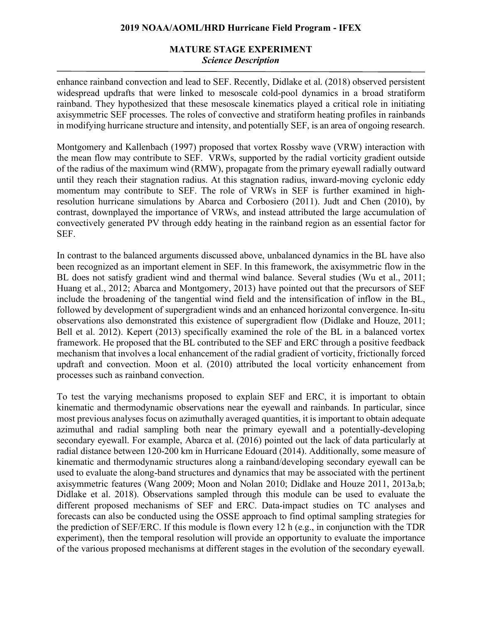# **MATURE STAGE EXPERIMENT** *Science Description*

enhance rainband convection and lead to SEF. Recently, Didlake et al. (2018) observed persistent widespread updrafts that were linked to mesoscale cold-pool dynamics in a broad stratiform rainband. They hypothesized that these mesoscale kinematics played a critical role in initiating axisymmetric SEF processes. The roles of convective and stratiform heating profiles in rainbands in modifying hurricane structure and intensity, and potentially SEF, is an area of ongoing research.

Montgomery and Kallenbach (1997) proposed that vortex Rossby wave (VRW) interaction with the mean flow may contribute to SEF. VRWs, supported by the radial vorticity gradient outside of the radius of the maximum wind (RMW), propagate from the primary eyewall radially outward until they reach their stagnation radius. At this stagnation radius, inward-moving cyclonic eddy momentum may contribute to SEF. The role of VRWs in SEF is further examined in highresolution hurricane simulations by Abarca and Corbosiero (2011). Judt and Chen (2010), by contrast, downplayed the importance of VRWs, and instead attributed the large accumulation of convectively generated PV through eddy heating in the rainband region as an essential factor for SEF.

In contrast to the balanced arguments discussed above, unbalanced dynamics in the BL have also been recognized as an important element in SEF. In this framework, the axisymmetric flow in the BL does not satisfy gradient wind and thermal wind balance. Several studies (Wu et al., 2011; Huang et al., 2012; Abarca and Montgomery, 2013) have pointed out that the precursors of SEF include the broadening of the tangential wind field and the intensification of inflow in the BL, followed by development of supergradient winds and an enhanced horizontal convergence. In-situ observations also demonstrated this existence of supergradient flow (Didlake and Houze, 2011; Bell et al. 2012). Kepert (2013) specifically examined the role of the BL in a balanced vortex framework. He proposed that the BL contributed to the SEF and ERC through a positive feedback mechanism that involves a local enhancement of the radial gradient of vorticity, frictionally forced updraft and convection. Moon et al. (2010) attributed the local vorticity enhancement from processes such as rainband convection.

To test the varying mechanisms proposed to explain SEF and ERC, it is important to obtain kinematic and thermodynamic observations near the eyewall and rainbands. In particular, since most previous analyses focus on azimuthally averaged quantities, it is important to obtain adequate azimuthal and radial sampling both near the primary eyewall and a potentially-developing secondary eyewall. For example, Abarca et al. (2016) pointed out the lack of data particularly at radial distance between 120-200 km in Hurricane Edouard (2014). Additionally, some measure of kinematic and thermodynamic structures along a rainband/developing secondary eyewall can be used to evaluate the along-band structures and dynamics that may be associated with the pertinent axisymmetric features (Wang 2009; Moon and Nolan 2010; Didlake and Houze 2011, 2013a,b; Didlake et al. 2018). Observations sampled through this module can be used to evaluate the different proposed mechanisms of SEF and ERC. Data-impact studies on TC analyses and forecasts can also be conducted using the OSSE approach to find optimal sampling strategies for the prediction of SEF/ERC. If this module is flown every 12 h (e.g., in conjunction with the TDR experiment), then the temporal resolution will provide an opportunity to evaluate the importance of the various proposed mechanisms at different stages in the evolution of the secondary eyewall.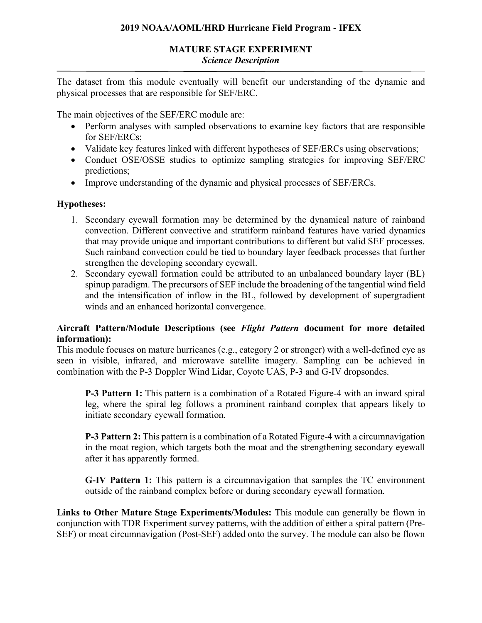## **MATURE STAGE EXPERIMENT** *Science Description*

The dataset from this module eventually will benefit our understanding of the dynamic and physical processes that are responsible for SEF/ERC.

The main objectives of the SEF/ERC module are:

- Perform analyses with sampled observations to examine key factors that are responsible for SEF/ERCs;
- Validate key features linked with different hypotheses of SEF/ERCs using observations;
- Conduct OSE/OSSE studies to optimize sampling strategies for improving SEF/ERC predictions;
- Improve understanding of the dynamic and physical processes of SEF/ERCs.

## **Hypotheses:**

- 1. Secondary eyewall formation may be determined by the dynamical nature of rainband convection. Different convective and stratiform rainband features have varied dynamics that may provide unique and important contributions to different but valid SEF processes. Such rainband convection could be tied to boundary layer feedback processes that further strengthen the developing secondary eyewall.
- 2. Secondary eyewall formation could be attributed to an unbalanced boundary layer (BL) spinup paradigm. The precursors of SEF include the broadening of the tangential wind field and the intensification of inflow in the BL, followed by development of supergradient winds and an enhanced horizontal convergence.

# **Aircraft Pattern/Module Descriptions (see** *Flight Pattern* **document for more detailed information):**

This module focuses on mature hurricanes (e.g., category 2 or stronger) with a well-defined eye as seen in visible, infrared, and microwave satellite imagery. Sampling can be achieved in combination with the P-3 Doppler Wind Lidar, Coyote UAS, P-3 and G-IV dropsondes.

**P-3 Pattern 1:** This pattern is a combination of a Rotated Figure-4 with an inward spiral leg, where the spiral leg follows a prominent rainband complex that appears likely to initiate secondary eyewall formation.

**P-3 Pattern 2:** This pattern is a combination of a Rotated Figure-4 with a circumnavigation in the moat region, which targets both the moat and the strengthening secondary eyewall after it has apparently formed.

**G-IV Pattern 1:** This pattern is a circumnavigation that samples the TC environment outside of the rainband complex before or during secondary eyewall formation.

**Links to Other Mature Stage Experiments/Modules:** This module can generally be flown in conjunction with TDR Experiment survey patterns, with the addition of either a spiral pattern (Pre-SEF) or moat circumnavigation (Post-SEF) added onto the survey. The module can also be flown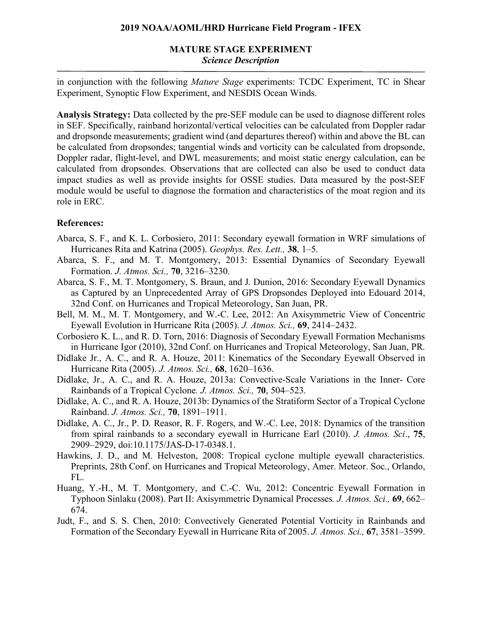## **MATURE STAGE EXPERIMENT** *Science Description*

in conjunction with the following *Mature Stage* experiments: TCDC Experiment, TC in Shear Experiment, Synoptic Flow Experiment, and NESDIS Ocean Winds.

**Analysis Strategy:** Data collected by the pre-SEF module can be used to diagnose different roles in SEF. Specifically, rainband horizontal/vertical velocities can be calculated from Doppler radar and dropsonde measurements; gradient wind (and departures thereof) within and above the BL can be calculated from dropsondes; tangential winds and vorticity can be calculated from dropsonde, Doppler radar, flight-level, and DWL measurements; and moist static energy calculation, can be calculated from dropsondes. Observations that are collected can also be used to conduct data impact studies as well as provide insights for OSSE studies. Data measured by the post-SEF module would be useful to diagnose the formation and characteristics of the moat region and its role in ERC.

### **References:**

- Abarca, S. F., and K. L. Corbosiero, 2011: Secondary eyewall formation in WRF simulations of Hurricanes Rita and Katrina (2005). *Geophys. Res. Lett.,* **38**, 1–5.
- Abarca, S. F., and M. T. Montgomery, 2013: Essential Dynamics of Secondary Eyewall Formation. *J. Atmos. Sci.,* **70**, 3216–3230.
- Abarca, S. F., M. T. Montgomery, S. Braun, and J. Dunion, 2016: Secondary Eyewall Dynamics as Captured by an Unprecedented Array of GPS Dropsondes Deployed into Edouard 2014, 32nd Conf. on Hurricanes and Tropical Meteorology, San Juan, PR.
- Bell, M. M., M. T. Montgomery, and W.-C. Lee, 2012: An Axisymmetric View of Concentric Eyewall Evolution in Hurricane Rita (2005). *J. Atmos. Sci.,* **69**, 2414–2432.
- Corbosiero K. L., and R. D. Torn, 2016: Diagnosis of Secondary Eyewall Formation Mechanisms in Hurricane Igor (2010), 32nd Conf. on Hurricanes and Tropical Meteorology, San Juan, PR.
- Didlake Jr., A. C., and R. A. Houze, 2011: Kinematics of the Secondary Eyewall Observed in Hurricane Rita (2005). *J. Atmos. Sci.,* **68**, 1620–1636.
- Didlake, Jr., A. C., and R. A. Houze, 2013a: Convective-Scale Variations in the Inner- Core Rainbands of a Tropical Cyclone*. J. Atmos. Sci.,* **70**, 504–523.
- Didlake, A. C., and R. A. Houze, 2013b: Dynamics of the Stratiform Sector of a Tropical Cyclone Rainband. *J. Atmos. Sci.,* **70**, 1891–1911.
- Didlake, A. C., Jr., P. D. Reasor, R. F. Rogers, and W.-C. Lee, 2018: Dynamics of the transition from spiral rainbands to a secondary eyewall in Hurricane Earl (2010). *J. Atmos. Sci*., **75**, 2909–2929, doi:10.1175/JAS-D-17-0348.1.
- Hawkins, J. D., and M. Helveston, 2008: Tropical cyclone multiple eyewall characteristics. Preprints, 28th Conf. on Hurricanes and Tropical Meteorology, Amer. Meteor. Soc., Orlando, FL.
- Huang, Y.-H., M. T. Montgomery, and C.-C. Wu, 2012: Concentric Eyewall Formation in Typhoon Sinlaku (2008). Part II: Axisymmetric Dynamical Processes*. J. Atmos. Sci.,* **69**, 662– 674.
- Judt, F., and S. S. Chen, 2010: Convectively Generated Potential Vorticity in Rainbands and Formation of the Secondary Eyewall in Hurricane Rita of 2005. *J. Atmos. Sci.,* **67**, 3581–3599.